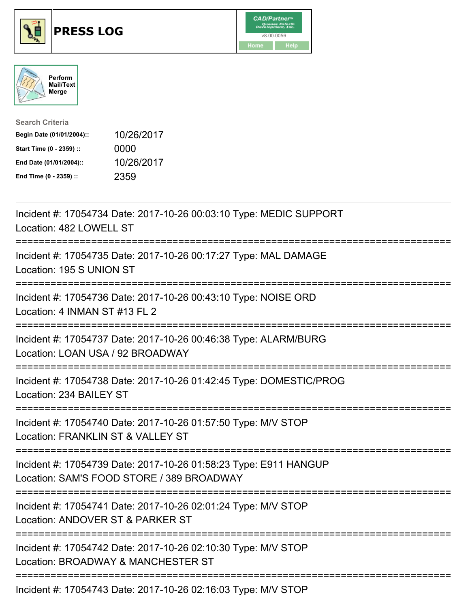





| <b>Search Criteria</b>    |            |
|---------------------------|------------|
| Begin Date (01/01/2004):: | 10/26/2017 |
| Start Time (0 - 2359) ::  | 0000       |
| End Date (01/01/2004)::   | 10/26/2017 |
| End Time (0 - 2359) ::    | 2359       |

| Incident #: 17054734 Date: 2017-10-26 00:03:10 Type: MEDIC SUPPORT<br>Location: 482 LOWELL ST                                                                                                                                                                                                                                                                                        |
|--------------------------------------------------------------------------------------------------------------------------------------------------------------------------------------------------------------------------------------------------------------------------------------------------------------------------------------------------------------------------------------|
| Incident #: 17054735 Date: 2017-10-26 00:17:27 Type: MAL DAMAGE<br>Location: 195 S UNION ST                                                                                                                                                                                                                                                                                          |
| Incident #: 17054736 Date: 2017-10-26 00:43:10 Type: NOISE ORD<br>Location: 4 INMAN ST #13 FL 2<br>:=====================<br>-----------------<br>-------------------                                                                                                                                                                                                                |
| Incident #: 17054737 Date: 2017-10-26 00:46:38 Type: ALARM/BURG<br>Location: LOAN USA / 92 BROADWAY                                                                                                                                                                                                                                                                                  |
| Incident #: 17054738 Date: 2017-10-26 01:42:45 Type: DOMESTIC/PROG<br>Location: 234 BAILEY ST                                                                                                                                                                                                                                                                                        |
| Incident #: 17054740 Date: 2017-10-26 01:57:50 Type: M/V STOP<br>Location: FRANKLIN ST & VALLEY ST<br>:======================                                                                                                                                                                                                                                                        |
| Incident #: 17054739 Date: 2017-10-26 01:58:23 Type: E911 HANGUP<br>Location: SAM'S FOOD STORE / 389 BROADWAY                                                                                                                                                                                                                                                                        |
| Incident #: 17054741 Date: 2017-10-26 02:01:24 Type: M/V STOP<br>Location: ANDOVER ST & PARKER ST                                                                                                                                                                                                                                                                                    |
| Incident #: 17054742 Date: 2017-10-26 02:10:30 Type: M/V STOP<br>Location: BROADWAY & MANCHESTER ST                                                                                                                                                                                                                                                                                  |
| $\overline{a}$ $\overline{a}$ $\overline{a}$ $\overline{a}$ $\overline{a}$ $\overline{a}$ $\overline{a}$ $\overline{a}$ $\overline{a}$ $\overline{a}$ $\overline{a}$ $\overline{a}$ $\overline{a}$ $\overline{a}$ $\overline{a}$ $\overline{a}$ $\overline{a}$ $\overline{a}$ $\overline{a}$ $\overline{a}$ $\overline{a}$ $\overline{a}$ $\overline{a}$ $\overline{a}$ $\overline{$ |

Incident #: 17054743 Date: 2017-10-26 02:16:03 Type: M/V STOP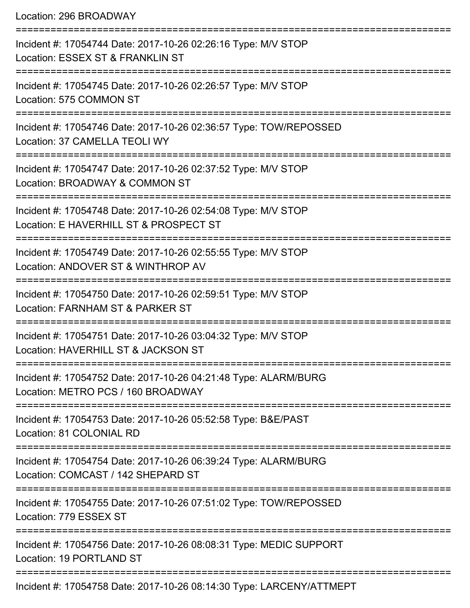Location: 296 BROADWAY

| Incident #: 17054744 Date: 2017-10-26 02:26:16 Type: M/V STOP<br>Location: ESSEX ST & FRANKLIN ST       |
|---------------------------------------------------------------------------------------------------------|
| Incident #: 17054745 Date: 2017-10-26 02:26:57 Type: M/V STOP<br>Location: 575 COMMON ST                |
| Incident #: 17054746 Date: 2017-10-26 02:36:57 Type: TOW/REPOSSED<br>Location: 37 CAMELLA TEOLI WY      |
| Incident #: 17054747 Date: 2017-10-26 02:37:52 Type: M/V STOP<br>Location: BROADWAY & COMMON ST         |
| Incident #: 17054748 Date: 2017-10-26 02:54:08 Type: M/V STOP<br>Location: E HAVERHILL ST & PROSPECT ST |
| Incident #: 17054749 Date: 2017-10-26 02:55:55 Type: M/V STOP<br>Location: ANDOVER ST & WINTHROP AV     |
| Incident #: 17054750 Date: 2017-10-26 02:59:51 Type: M/V STOP<br>Location: FARNHAM ST & PARKER ST       |
| Incident #: 17054751 Date: 2017-10-26 03:04:32 Type: M/V STOP<br>Location: HAVERHILL ST & JACKSON ST    |
| Incident #: 17054752 Date: 2017-10-26 04:21:48 Type: ALARM/BURG<br>Location: METRO PCS / 160 BROADWAY   |
| Incident #: 17054753 Date: 2017-10-26 05:52:58 Type: B&E/PAST<br>Location: 81 COLONIAL RD               |
| Incident #: 17054754 Date: 2017-10-26 06:39:24 Type: ALARM/BURG<br>Location: COMCAST / 142 SHEPARD ST   |
| Incident #: 17054755 Date: 2017-10-26 07:51:02 Type: TOW/REPOSSED<br>Location: 779 ESSEX ST             |
| Incident #: 17054756 Date: 2017-10-26 08:08:31 Type: MEDIC SUPPORT<br>Location: 19 PORTLAND ST          |
| Incident #: 17054758 Date: 2017-10-26 08:14:30 Type: LARCENY/ATTMEPT                                    |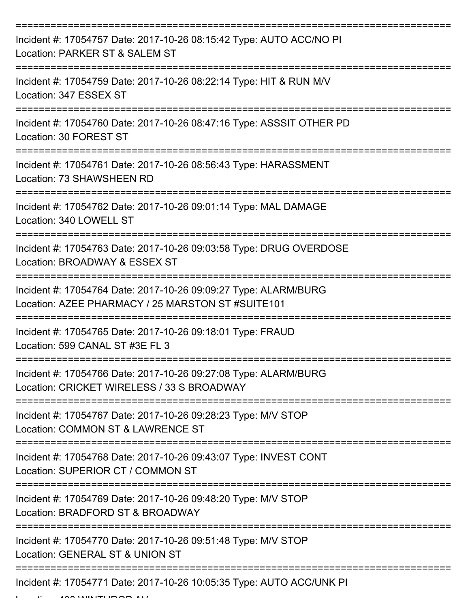| Incident #: 17054757 Date: 2017-10-26 08:15:42 Type: AUTO ACC/NO PI<br>Location: PARKER ST & SALEM ST                |
|----------------------------------------------------------------------------------------------------------------------|
| Incident #: 17054759 Date: 2017-10-26 08:22:14 Type: HIT & RUN M/V<br>Location: 347 ESSEX ST                         |
| Incident #: 17054760 Date: 2017-10-26 08:47:16 Type: ASSSIT OTHER PD<br>Location: 30 FOREST ST                       |
| Incident #: 17054761 Date: 2017-10-26 08:56:43 Type: HARASSMENT<br>Location: 73 SHAWSHEEN RD                         |
| Incident #: 17054762 Date: 2017-10-26 09:01:14 Type: MAL DAMAGE<br>Location: 340 LOWELL ST                           |
| Incident #: 17054763 Date: 2017-10-26 09:03:58 Type: DRUG OVERDOSE<br>Location: BROADWAY & ESSEX ST                  |
| Incident #: 17054764 Date: 2017-10-26 09:09:27 Type: ALARM/BURG<br>Location: AZEE PHARMACY / 25 MARSTON ST #SUITE101 |
| Incident #: 17054765 Date: 2017-10-26 09:18:01 Type: FRAUD<br>Location: 599 CANAL ST #3E FL 3                        |
| Incident #: 17054766 Date: 2017-10-26 09:27:08 Type: ALARM/BURG<br>Location: CRICKET WIRELESS / 33 S BROADWAY        |
| Incident #: 17054767 Date: 2017-10-26 09:28:23 Type: M/V STOP<br>Location: COMMON ST & LAWRENCE ST                   |
| Incident #: 17054768 Date: 2017-10-26 09:43:07 Type: INVEST CONT<br>Location: SUPERIOR CT / COMMON ST                |
| Incident #: 17054769 Date: 2017-10-26 09:48:20 Type: M/V STOP<br>Location: BRADFORD ST & BROADWAY                    |
| Incident #: 17054770 Date: 2017-10-26 09:51:48 Type: M/V STOP<br>Location: GENERAL ST & UNION ST                     |
| Incident #: 17054771 Date: 2017-10-26 10:05:35 Type: AUTO ACC/UNK PI                                                 |

Location: 400 WINTHROP AV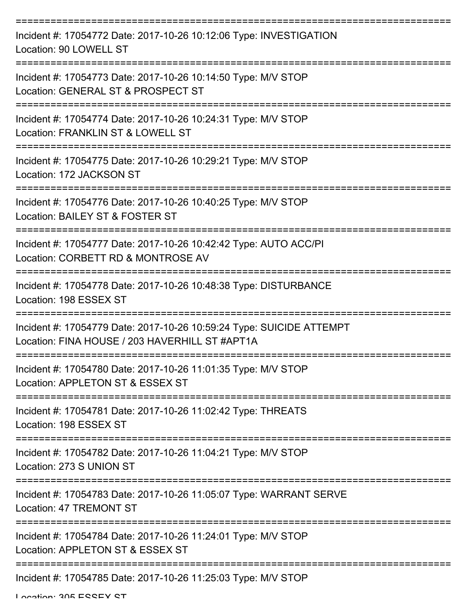| Incident #: 17054772 Date: 2017-10-26 10:12:06 Type: INVESTIGATION<br>Location: 90 LOWELL ST                           |
|------------------------------------------------------------------------------------------------------------------------|
| Incident #: 17054773 Date: 2017-10-26 10:14:50 Type: M/V STOP<br>Location: GENERAL ST & PROSPECT ST                    |
| Incident #: 17054774 Date: 2017-10-26 10:24:31 Type: M/V STOP<br>Location: FRANKLIN ST & LOWELL ST                     |
| Incident #: 17054775 Date: 2017-10-26 10:29:21 Type: M/V STOP<br>Location: 172 JACKSON ST                              |
| Incident #: 17054776 Date: 2017-10-26 10:40:25 Type: M/V STOP<br>Location: BAILEY ST & FOSTER ST                       |
| Incident #: 17054777 Date: 2017-10-26 10:42:42 Type: AUTO ACC/PI<br>Location: CORBETT RD & MONTROSE AV                 |
| Incident #: 17054778 Date: 2017-10-26 10:48:38 Type: DISTURBANCE<br>Location: 198 ESSEX ST                             |
| Incident #: 17054779 Date: 2017-10-26 10:59:24 Type: SUICIDE ATTEMPT<br>Location: FINA HOUSE / 203 HAVERHILL ST #APT1A |
| Incident #: 17054780 Date: 2017-10-26 11:01:35 Type: M/V STOP<br>Location: APPLETON ST & ESSEX ST                      |
| Incident #: 17054781 Date: 2017-10-26 11:02:42 Type: THREATS<br>Location: 198 ESSEX ST                                 |
| Incident #: 17054782 Date: 2017-10-26 11:04:21 Type: M/V STOP<br>Location: 273 S UNION ST                              |
| Incident #: 17054783 Date: 2017-10-26 11:05:07 Type: WARRANT SERVE<br><b>Location: 47 TREMONT ST</b>                   |
| Incident #: 17054784 Date: 2017-10-26 11:24:01 Type: M/V STOP<br>Location: APPLETON ST & ESSEX ST                      |
| Incident #: 17054785 Date: 2017-10-26 11:25:03 Type: M/V STOP                                                          |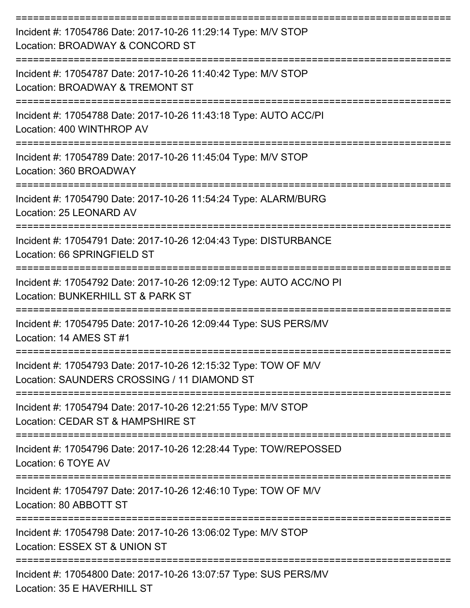| Incident #: 17054786 Date: 2017-10-26 11:29:14 Type: M/V STOP<br>Location: BROADWAY & CONCORD ST               |
|----------------------------------------------------------------------------------------------------------------|
| Incident #: 17054787 Date: 2017-10-26 11:40:42 Type: M/V STOP<br>Location: BROADWAY & TREMONT ST               |
| Incident #: 17054788 Date: 2017-10-26 11:43:18 Type: AUTO ACC/PI<br>Location: 400 WINTHROP AV                  |
| Incident #: 17054789 Date: 2017-10-26 11:45:04 Type: M/V STOP<br>Location: 360 BROADWAY                        |
| Incident #: 17054790 Date: 2017-10-26 11:54:24 Type: ALARM/BURG<br>Location: 25 LEONARD AV                     |
| Incident #: 17054791 Date: 2017-10-26 12:04:43 Type: DISTURBANCE<br>Location: 66 SPRINGFIELD ST                |
| Incident #: 17054792 Date: 2017-10-26 12:09:12 Type: AUTO ACC/NO PI<br>Location: BUNKERHILL ST & PARK ST       |
| Incident #: 17054795 Date: 2017-10-26 12:09:44 Type: SUS PERS/MV<br>Location: 14 AMES ST #1                    |
| Incident #: 17054793 Date: 2017-10-26 12:15:32 Type: TOW OF M/V<br>Location: SAUNDERS CROSSING / 11 DIAMOND ST |
| Incident #: 17054794 Date: 2017-10-26 12:21:55 Type: M/V STOP<br>Location: CEDAR ST & HAMPSHIRE ST             |
| Incident #: 17054796 Date: 2017-10-26 12:28:44 Type: TOW/REPOSSED<br>Location: 6 TOYE AV                       |
| Incident #: 17054797 Date: 2017-10-26 12:46:10 Type: TOW OF M/V<br>Location: 80 ABBOTT ST                      |
| Incident #: 17054798 Date: 2017-10-26 13:06:02 Type: M/V STOP<br>Location: ESSEX ST & UNION ST                 |
| Incident #: 17054800 Date: 2017-10-26 13:07:57 Type: SUS PERS/MV<br>Location: 35 E HAVERHILL ST                |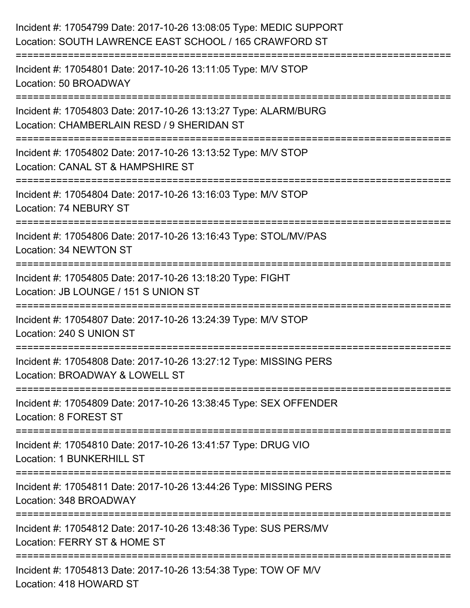| Incident #: 17054799 Date: 2017-10-26 13:08:05 Type: MEDIC SUPPORT<br>Location: SOUTH LAWRENCE EAST SCHOOL / 165 CRAWFORD ST |
|------------------------------------------------------------------------------------------------------------------------------|
| Incident #: 17054801 Date: 2017-10-26 13:11:05 Type: M/V STOP<br>Location: 50 BROADWAY                                       |
| Incident #: 17054803 Date: 2017-10-26 13:13:27 Type: ALARM/BURG<br>Location: CHAMBERLAIN RESD / 9 SHERIDAN ST                |
| Incident #: 17054802 Date: 2017-10-26 13:13:52 Type: M/V STOP<br>Location: CANAL ST & HAMPSHIRE ST                           |
| Incident #: 17054804 Date: 2017-10-26 13:16:03 Type: M/V STOP<br>Location: 74 NEBURY ST                                      |
| Incident #: 17054806 Date: 2017-10-26 13:16:43 Type: STOL/MV/PAS<br>Location: 34 NEWTON ST                                   |
| Incident #: 17054805 Date: 2017-10-26 13:18:20 Type: FIGHT<br>Location: JB LOUNGE / 151 S UNION ST                           |
| Incident #: 17054807 Date: 2017-10-26 13:24:39 Type: M/V STOP<br>Location: 240 S UNION ST                                    |
| Incident #: 17054808 Date: 2017-10-26 13:27:12 Type: MISSING PERS<br>Location: BROADWAY & LOWELL ST                          |
| Incident #: 17054809 Date: 2017-10-26 13:38:45 Type: SEX OFFENDER<br>Location: 8 FOREST ST                                   |
| Incident #: 17054810 Date: 2017-10-26 13:41:57 Type: DRUG VIO<br>Location: 1 BUNKERHILL ST                                   |
| Incident #: 17054811 Date: 2017-10-26 13:44:26 Type: MISSING PERS<br>Location: 348 BROADWAY                                  |
| Incident #: 17054812 Date: 2017-10-26 13:48:36 Type: SUS PERS/MV<br>Location: FERRY ST & HOME ST                             |
| Incident #: 17054813 Date: 2017-10-26 13:54:38 Type: TOW OF M/V<br>Location: 418 HOWARD ST                                   |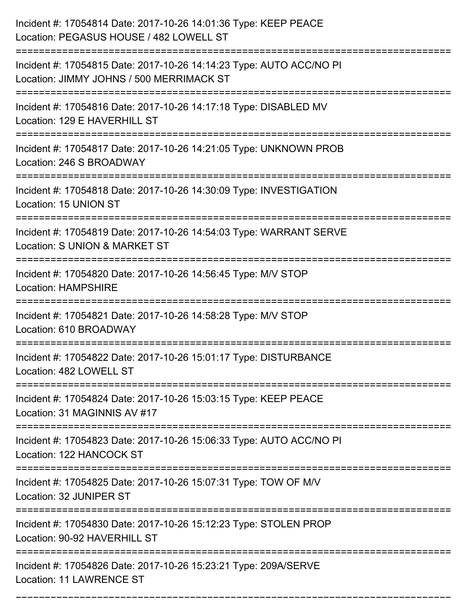| Incident #: 17054814 Date: 2017-10-26 14:01:36 Type: KEEP PEACE<br>Location: PEGASUS HOUSE / 482 LOWELL ST      |
|-----------------------------------------------------------------------------------------------------------------|
| Incident #: 17054815 Date: 2017-10-26 14:14:23 Type: AUTO ACC/NO PI<br>Location: JIMMY JOHNS / 500 MERRIMACK ST |
| Incident #: 17054816 Date: 2017-10-26 14:17:18 Type: DISABLED MV<br>Location: 129 E HAVERHILL ST                |
| Incident #: 17054817 Date: 2017-10-26 14:21:05 Type: UNKNOWN PROB<br>Location: 246 S BROADWAY                   |
| Incident #: 17054818 Date: 2017-10-26 14:30:09 Type: INVESTIGATION<br>Location: 15 UNION ST                     |
| Incident #: 17054819 Date: 2017-10-26 14:54:03 Type: WARRANT SERVE<br>Location: S UNION & MARKET ST             |
| Incident #: 17054820 Date: 2017-10-26 14:56:45 Type: M/V STOP<br><b>Location: HAMPSHIRE</b>                     |
| Incident #: 17054821 Date: 2017-10-26 14:58:28 Type: M/V STOP<br>Location: 610 BROADWAY                         |
| Incident #: 17054822 Date: 2017-10-26 15:01:17 Type: DISTURBANCE<br>Location: 482 LOWELL ST                     |
| Incident #: 17054824 Date: 2017-10-26 15:03:15 Type: KEEP PEACE<br>Location: 31 MAGINNIS AV #17                 |
| Incident #: 17054823 Date: 2017-10-26 15:06:33 Type: AUTO ACC/NO PI<br>Location: 122 HANCOCK ST                 |
| Incident #: 17054825 Date: 2017-10-26 15:07:31 Type: TOW OF M/V<br>Location: 32 JUNIPER ST                      |
| Incident #: 17054830 Date: 2017-10-26 15:12:23 Type: STOLEN PROP<br>Location: 90-92 HAVERHILL ST                |
| Incident #: 17054826 Date: 2017-10-26 15:23:21 Type: 209A/SERVE<br><b>Location: 11 LAWRENCE ST</b>              |

===========================================================================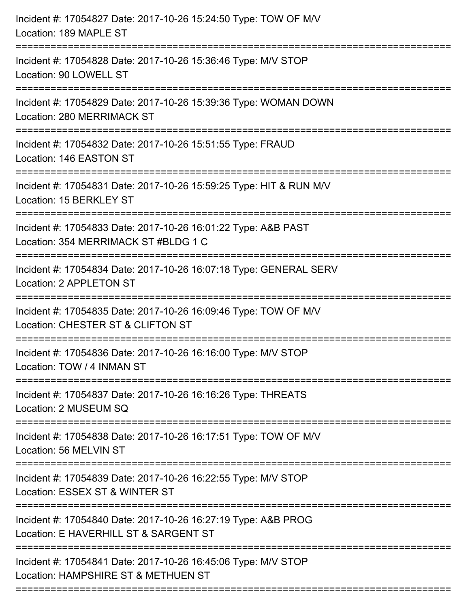| Incident #: 17054827 Date: 2017-10-26 15:24:50 Type: TOW OF M/V<br>Location: 189 MAPLE ST                                          |
|------------------------------------------------------------------------------------------------------------------------------------|
| Incident #: 17054828 Date: 2017-10-26 15:36:46 Type: M/V STOP<br>Location: 90 LOWELL ST                                            |
| Incident #: 17054829 Date: 2017-10-26 15:39:36 Type: WOMAN DOWN<br>Location: 280 MERRIMACK ST<br>;================================ |
| Incident #: 17054832 Date: 2017-10-26 15:51:55 Type: FRAUD<br>Location: 146 EASTON ST<br>--------------------------------------    |
| Incident #: 17054831 Date: 2017-10-26 15:59:25 Type: HIT & RUN M/V<br>Location: 15 BERKLEY ST                                      |
| Incident #: 17054833 Date: 2017-10-26 16:01:22 Type: A&B PAST<br>Location: 354 MERRIMACK ST#BLDG 1 C                               |
| Incident #: 17054834 Date: 2017-10-26 16:07:18 Type: GENERAL SERV<br>Location: 2 APPLETON ST                                       |
| Incident #: 17054835 Date: 2017-10-26 16:09:46 Type: TOW OF M/V<br>Location: CHESTER ST & CLIFTON ST                               |
| Incident #: 17054836 Date: 2017-10-26 16:16:00 Type: M/V STOP<br>Location: TOW / 4 INMAN ST                                        |
| Incident #: 17054837 Date: 2017-10-26 16:16:26 Type: THREATS<br>Location: 2 MUSEUM SQ                                              |
| Incident #: 17054838 Date: 2017-10-26 16:17:51 Type: TOW OF M/V<br>Location: 56 MELVIN ST                                          |
| Incident #: 17054839 Date: 2017-10-26 16:22:55 Type: M/V STOP<br>Location: ESSEX ST & WINTER ST                                    |
| Incident #: 17054840 Date: 2017-10-26 16:27:19 Type: A&B PROG<br>Location: E HAVERHILL ST & SARGENT ST                             |
| Incident #: 17054841 Date: 2017-10-26 16:45:06 Type: M/V STOP<br>Location: HAMPSHIRE ST & METHUEN ST                               |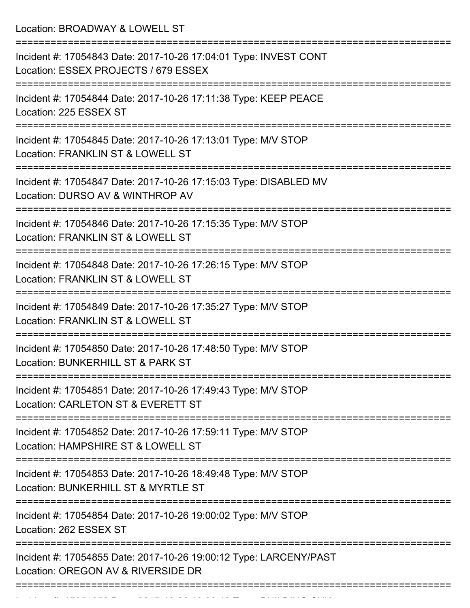Location: BROADWAY & LOWELL ST

| Incident #: 17054843 Date: 2017-10-26 17:04:01 Type: INVEST CONT<br>Location: ESSEX PROJECTS / 679 ESSEX            |
|---------------------------------------------------------------------------------------------------------------------|
| ======================<br>Incident #: 17054844 Date: 2017-10-26 17:11:38 Type: KEEP PEACE<br>Location: 225 ESSEX ST |
| Incident #: 17054845 Date: 2017-10-26 17:13:01 Type: M/V STOP<br>Location: FRANKLIN ST & LOWELL ST                  |
| Incident #: 17054847 Date: 2017-10-26 17:15:03 Type: DISABLED MV<br>Location: DURSO AV & WINTHROP AV                |
| Incident #: 17054846 Date: 2017-10-26 17:15:35 Type: M/V STOP<br>Location: FRANKLIN ST & LOWELL ST                  |
| Incident #: 17054848 Date: 2017-10-26 17:26:15 Type: M/V STOP<br>Location: FRANKLIN ST & LOWELL ST                  |
| Incident #: 17054849 Date: 2017-10-26 17:35:27 Type: M/V STOP<br>Location: FRANKLIN ST & LOWELL ST                  |
| Incident #: 17054850 Date: 2017-10-26 17:48:50 Type: M/V STOP<br>Location: BUNKERHILL ST & PARK ST                  |
| Incident #: 17054851 Date: 2017-10-26 17:49:43 Type: M/V STOP<br>Location: CARLETON ST & EVERETT ST                 |
| Incident #: 17054852 Date: 2017-10-26 17:59:11 Type: M/V STOP<br>Location: HAMPSHIRE ST & LOWELL ST                 |
| Incident #: 17054853 Date: 2017-10-26 18:49:48 Type: M/V STOP<br>Location: BUNKERHILL ST & MYRTLE ST                |
| Incident #: 17054854 Date: 2017-10-26 19:00:02 Type: M/V STOP<br>Location: 262 ESSEX ST                             |
| Incident #: 17054855 Date: 2017-10-26 19:00:12 Type: LARCENY/PAST<br>Location: OREGON AV & RIVERSIDE DR             |
|                                                                                                                     |

Incident #: 17054856 Date: 2017 10 26 19:09:40 Type: BUILDING CHK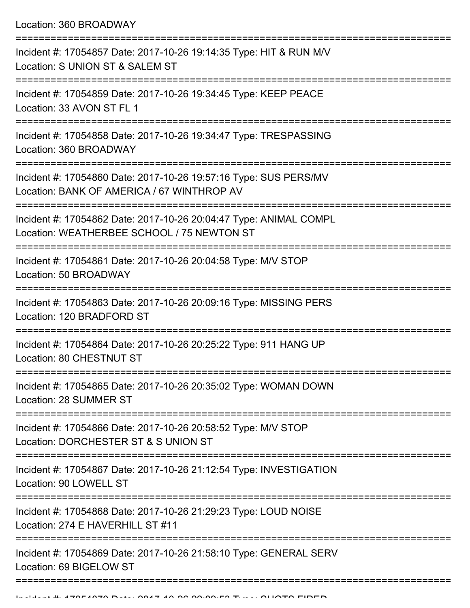Location: 360 BROADWAY

| Incident #: 17054857 Date: 2017-10-26 19:14:35 Type: HIT & RUN M/V<br>Location: S UNION ST & SALEM ST           |
|-----------------------------------------------------------------------------------------------------------------|
| Incident #: 17054859 Date: 2017-10-26 19:34:45 Type: KEEP PEACE<br>Location: 33 AVON ST FL 1                    |
| Incident #: 17054858 Date: 2017-10-26 19:34:47 Type: TRESPASSING<br>Location: 360 BROADWAY                      |
| Incident #: 17054860 Date: 2017-10-26 19:57:16 Type: SUS PERS/MV<br>Location: BANK OF AMERICA / 67 WINTHROP AV  |
| Incident #: 17054862 Date: 2017-10-26 20:04:47 Type: ANIMAL COMPL<br>Location: WEATHERBEE SCHOOL / 75 NEWTON ST |
| Incident #: 17054861 Date: 2017-10-26 20:04:58 Type: M/V STOP<br>Location: 50 BROADWAY                          |
| Incident #: 17054863 Date: 2017-10-26 20:09:16 Type: MISSING PERS<br>Location: 120 BRADFORD ST                  |
| Incident #: 17054864 Date: 2017-10-26 20:25:22 Type: 911 HANG UP<br>Location: 80 CHESTNUT ST                    |
| Incident #: 17054865 Date: 2017-10-26 20:35:02 Type: WOMAN DOWN<br>Location: 28 SUMMER ST                       |
| Incident #: 17054866 Date: 2017-10-26 20:58:52 Type: M/V STOP<br>Location: DORCHESTER ST & S UNION ST           |
| Incident #: 17054867 Date: 2017-10-26 21:12:54 Type: INVESTIGATION<br>Location: 90 LOWELL ST                    |
| Incident #: 17054868 Date: 2017-10-26 21:29:23 Type: LOUD NOISE<br>Location: 274 E HAVERHILL ST #11             |
| Incident #: 17054869 Date: 2017-10-26 21:58:10 Type: GENERAL SERV<br>Location: 69 BIGELOW ST                    |
|                                                                                                                 |